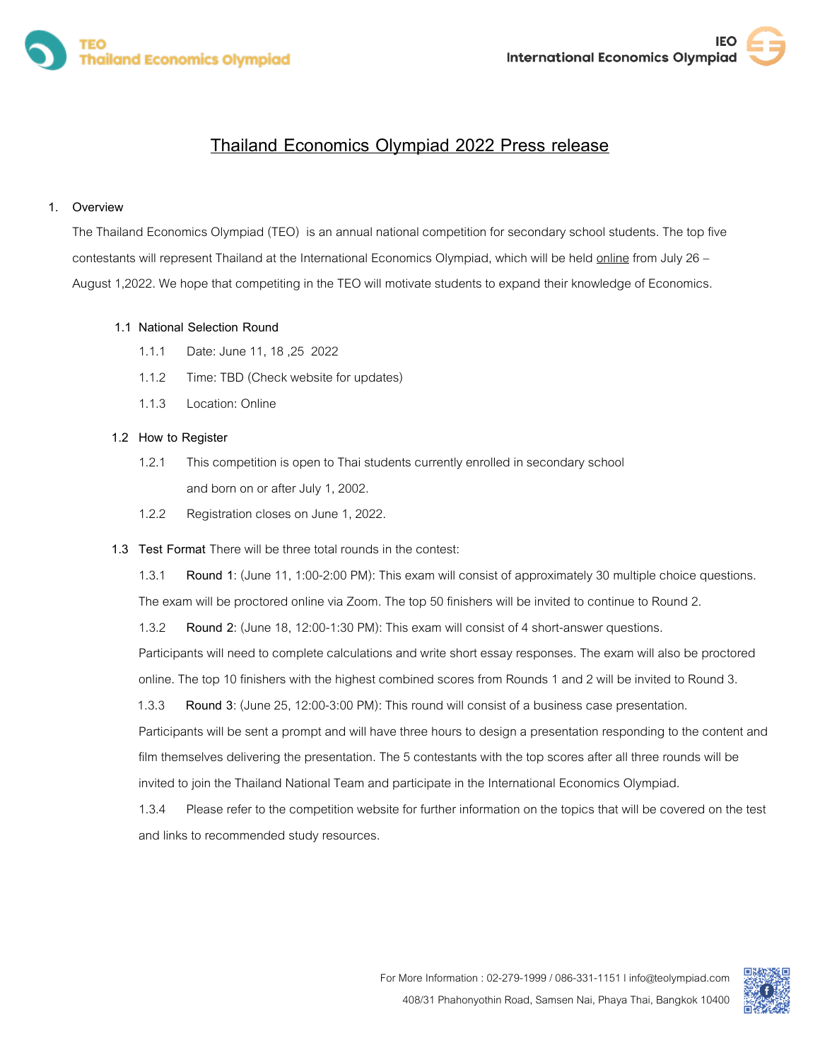

# **Thailand Economics Olympiad 2022 Press release**

## **1. Overview**

The Thailand Economics Olympiad (TEO) is an annual national competition for secondary school students. The top five contestants will represent Thailand at the International Economics Olympiad, which will be held online from July 26 -August 1,2022. We hope that competiting in the TEO will motivate students to expand their knowledge of Economics.

### **1.1 National Selection Round**

- 1.1.1 Date: June 11, 18 ,25 2022
- 1.1.2 Time: TBD (Check website for updates)
- 1.1.3 Location: Online

### **1.2 How to Register**

- 1.2.1 This competition is open to Thai students currently enrolled in secondary school and born on or after July 1, 2002.
- 1.2.2 Registration closes on June 1, 2022.

### **1.3 Test Format** There will be three total rounds in the contest:

1.3.1 **Round 1**: (June 11, 1:00-2:00 PM): This exam will consist of approximately 30 multiple choice questions. The exam will be proctored online via Zoom. The top 50 finishers will be invited to continue to Round 2.

1.3.2 **Round 2**: (June 18, 12:00-1:30 PM): This exam will consist of 4 short-answer questions.

Participants will need to complete calculations and write short essay responses. The exam will also be proctored online. The top 10 finishers with the highest combined scores from Rounds 1 and 2 will be invited to Round 3.

1.3.3 **Round 3**: (June 25, 12:00-3:00 PM): This round will consist of a business case presentation.

Participants will be sent a prompt and will have three hours to design a presentation responding to the content and film themselves delivering the presentation. The 5 contestants with the top scores after all three rounds will be invited to join the Thailand National Team and participate in the International Economics Olympiad.

1.3.4 Please refer to the competition website for further information on the topics that will be covered on the test and links to recommended study resources.